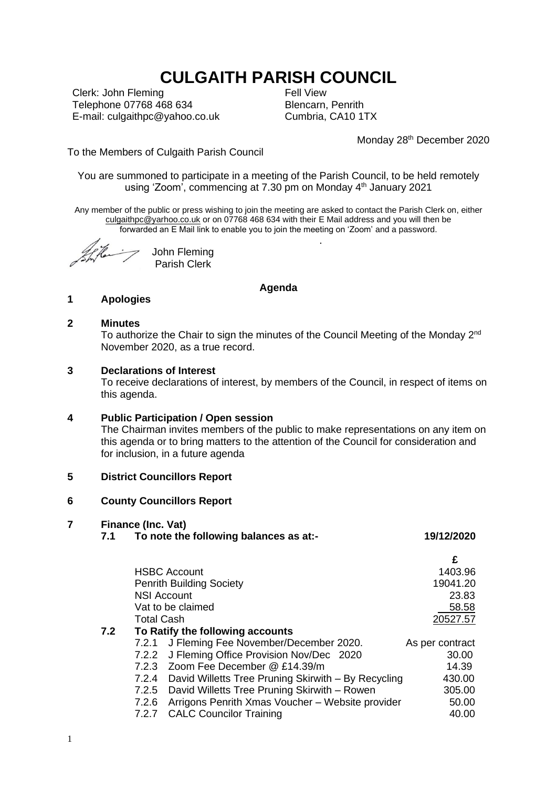# **CULGAITH PARISH COUNCIL**

Clerk: John Fleming Telephone 07768 468 634 E-mail: culgaithpc@yahoo.co.uk Fell View Blencarn, Penrith Cumbria, CA10 1TX

.

Monday 28<sup>th</sup> December 2020

To the Members of Culgaith Parish Council

You are summoned to participate in a meeting of the Parish Council, to be held remotely using 'Zoom', commencing at 7.30 pm on Monday 4<sup>th</sup> January 2021

Any member of the public or press wishing to join the meeting are asked to contact the Parish Clerk on, either [culgaithpc@yarhoo.co.uk](mailto:culgaithpc@yarhoo.co.uk) or on 07768 468 634 with their E Mail address and you will then be forwarded an E Mail link to enable you to join the meeting on 'Zoom' and a password.

John Fleming Parish Clerk

# **Agenda**

## **1 Apologies**

## **2 Minutes**

To authorize the Chair to sign the minutes of the Council Meeting of the Monday 2<sup>nd</sup> November 2020, as a true record.

## **3 Declarations of Interest**

To receive declarations of interest, by members of the Council, in respect of items on this agenda.

## **4 Public Participation / Open session**

The Chairman invites members of the public to make representations on any item on this agenda or to bring matters to the attention of the Council for consideration and for inclusion, in a future agenda

## **5 District Councillors Report**

## **6 County Councillors Report**

## **7 Finance (Inc. Vat)**

**7.1 To note the following balances as at:- 19/12/2020 £** HSBC Account 1403.96 Penrith Building Society **19041.20** NSI Account 23.83 Vat to be claimed 58.58 Total Cash 20527.57 **7.2 To Ratify the following accounts** 7.2.1 J Fleming Fee November/December 2020. As per contract 7.2.2 J Fleming Office Provision Nov/Dec 2020 30.00 7.2.3 Zoom Fee December @ £14.39/m 14.39 7.2.4 David Willetts Tree Pruning Skirwith – By Recycling 430.00 7.2.5 David Willetts Tree Pruning Skirwith – Rowen 305.00 7.2.6 Arrigons Penrith Xmas Voucher – Website provider 50.00